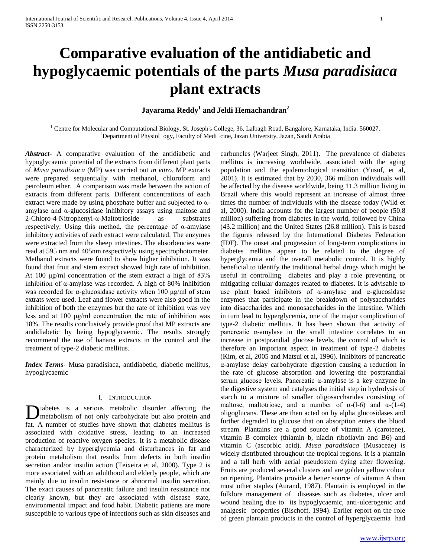# **Comparative evaluation of the antidiabetic and hypoglycaemic potentials of the parts** *Musa paradisiaca* **plant extracts**

### **Jayarama Reddy<sup>1</sup> and Jeldi Hemachandran<sup>2</sup>**

<sup>1</sup> Centre for Molecular and Computational Biology, St. Joseph's College, 36, Lalbagh Road, Bangalore, Karnataka, India. 560027. <sup>2</sup>Department of Physiol¬ogy, Faculty of Medi¬cine, Jazan University, Jazan, Saudi Arabia

*Abstract***-** A comparative evaluation of the antidiabetic and hypoglycaemic potential of the extracts from different plant parts of *Musa paradisiaca* (MP) was carried out *in vitro*. MP extracts were prepared sequentially with methanol, chloroform and petroleum ether. A comparison was made between the action of extracts from different parts. Different concentrations of each extract were made by using phosphate buffer and subjected to  $\alpha$ amylase and α-glucosidase inhibitory assays using maltose and 2-Chloro-4-Nitrophenyl-α-Maltotrioside as substrates respectively. Using this method, the percentage of α-amylase inhibitory activities of each extract were calculated. The enzymes were extracted from the sheep intestines. The absorbencies ware read at 595 nm and 405nm respectively using spectrophotometer. Methanol extracts were found to show higher inhibition. It was found that fruit and stem extract showed high rate of inhibition. At 100 μg/ml concentration of the stem extract a high of 83% inhibition of  $\alpha$ -amylase was recorded. A high of 80% inhibition was recorded for  $\alpha$ -glucosidase activity when 100 μg/ml of stem extrats were used. Leaf and flower extracts were also good in the inhibition of both the enzymes but the rate of inhibition was vey less and at 100 μg/ml concentration the rate of inhibition was 18%. The results conclusively provide proof that MP extracts are andidiabetic by being hypoglycaemic. The results strongly recommend the use of banana extracts in the control and the treatment of type-2 diabetic mellitus.

*Index Terms*- Musa paradisiaca, antidiabetic, diabetic mellitus, hypoglycaemic

### I. INTRODUCTION

iabetes is a serious metabolic disorder affecting the metabolism of not only carbohydrate but also protein and **I** iabetes is a serious metabolic disorder affecting the metabolism of not only carbohydrate but also protein and fat. A number of studies have shown that diabetes mellitus is associated with oxidative stress, leading to an increased production of reactive oxygen species. It is a metabolic disease characterized by hyperglycemia and disturbances in fat and protein metabolism that results from defects in both insulin secretion and/or insulin action (Teixeira et al, 2000). Type 2 is more associated with an adulthood and elderly people, which are mainly due to insulin resistance or abnormal insulin secretion. The exact causes of pancreatic failure and insulin resistance not clearly known, but they are associated with disease state, environmental impact and food habit. Diabetic patients are more susceptible to various type of infections such as skin diseases and

carbuncles (Warjeet Singh, 2011). The prevalence of diabetes mellitus is increasing worldwide, associated with the aging population and the epidemiological transition (Yusuf, et al, 2001). It is estimated that by 2030, 366 million individuals will be affected by the disease worldwide, being 11.3 million living in Brazil where this would represent an increase of almost three times the number of individuals with the disease today (Wild et al, 2000). India accounts for the largest number of people (50.8 million) suffering from diabetes in the world, followed by China (43.2 million) and the United States (26.8 million). This is based the figures released by the International Diabetes Federation (IDF). The onset and progression of long-term complications in diabetes mellitus appear to be related to the degree of hyperglycemia and the overall metabolic control. It is highly beneficial to identify the traditional herbal drugs which might be useful in controlling diabetes and play a role preventing or mitigating cellular damages related to diabetes. It is advisable to use plant based inhibitors of  $\alpha$ -amylase and  $\alpha$ -glucosidase enzymes that participate in the breakdown of polysaccharides into disaccharides and monosaccharides in the intestine. Which in turn lead to hyperglycemia, one of the major complication of type-2 diabetic mellitus. It has been shown that activity of pancreatic α-amylase in the small intestine correlates to an increase in postprandial glucose levels, the control of which is therefore an important aspect in treatment of type-2 diabetes (Kim, et al, 2005 and Matsui et al, 1996). Inhibitors of pancreatic α-amylase delay carbohydrate digestion causing a reduction in the rate of glucose absorption and lowering the postprandial serum glucose levels. Pancreatic α-amylase is a key enzyme in the digestive system and catalyses the initial step in hydrolysis of starch to a mixture of smaller oligosaccharides consisting of maltose, maltotriose, and a number of  $\alpha$ -(1-6) and  $\alpha$ -(1-4) oligoglucans. These are then acted on by alpha glucosidases and further degraded to glucose that on absorption enters the blood stream. Plantains are a good source of vitamin A (carotene), vitamin B complex (thiamin b, niacin riboflavin and B6) and vitamin C (ascorbic acid). *Musa paradisiaca* (Musaceae) is widely distributed throughout the tropical regions. It is a plantain and a tall herb with aerial pseudostem dying after flowering. Fruits are produced several clusters and are golden yellow colour on ripening. Plantains provide a better source of vitamin A than most other staples (Aurand, 1987). Plantain is employed in the folklore management of diseases such as diabetes, ulcer and wound healing due to its hypoglycaemic, anti-ulcerogenic and analgesic properties (Bischoff, 1994). Earlier report on the role of green plantain products in the control of hyperglycaemia had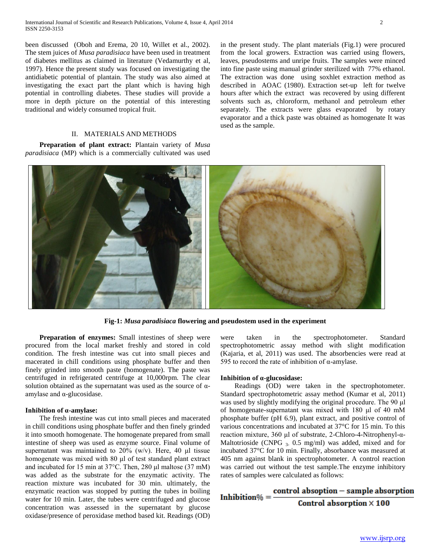been discussed (Oboh and Erema, 20 10, Willet et al., 2002). The stem juices of *Musa paradisiaca* have been used in treatment of diabetes mellitus as claimed in literature (Vedamurthy et al, 1997). Hence the present study was focused on investigating the antidiabetic potential of plantain. The study was also aimed at investigating the exact part the plant which is having high potential in controlling diabetes. These studies will provide a more in depth picture on the potential of this interesting traditional and widely consumed tropical fruit.

in the present study. The plant materials (Fig.1) were procured from the local growers. Extraction was carried using flowers, leaves, pseudostems and unripe fruits. The samples were minced into fine paste using manual grinder sterilized with 77% ethanol. The extraction was done using soxhlet extraction method as described in AOAC (1980). Extraction set-up left for twelve hours after which the extract was recovered by using different solvents such as, chloroform, methanol and petroleum ether separately. The extracts were glass evaporated by rotary evaporator and a thick paste was obtained as homogenate It was used as the sample.

### II. MATERIALS AND METHODS

 **Preparation of plant extract:** Plantain variety of *Musa paradisiaca* (MP) which is a commercially cultivated was used



**Fig-1:** *Musa paradisiaca* **flowering and pseudostem used in the experiment**

 **Preparation of enzymes:** Small intestines of sheep were procured from the local market freshly and stored in cold condition. The fresh intestine was cut into small pieces and macerated in chill conditions using phosphate buffer and then finely grinded into smooth paste (homogenate). The paste was centrifuged in refrigerated centrifuge at 10,000rpm. The clear solution obtained as the supernatant was used as the source of  $\alpha$ amylase and α-glucosidase.

### **Inhibition of α-amylase:**

The fresh intestine was cut into small pieces and macerated in chill conditions using phosphate buffer and then finely grinded it into smooth homogenate. The homogenate prepared from small intestine of sheep was used as enzyme source. Final volume of supernatant was maintained to 20% (w/v). Here, 40 μl tissue homogenate was mixed with 80 μl of test standard plant extract and incubated for 15 min at 37°C. Then, 280 μl maltose (37 mM) was added as the substrate for the enzymatic activity. The reaction mixture was incubated for 30 min. ultimately, the enzymatic reaction was stopped by putting the tubes in boiling water for 10 min. Later, the tubes were centrifuged and glucose concentration was assessed in the supernatant by glucose oxidase/presence of peroxidase method based kit. Readings (OD)

were taken in the spectrophotometer. Standard spectrophotometric assay method with slight modification (Kajaria, et al, 2011) was used. The absorbencies were read at 595 to record the rate of inhibition of α-amylase.

### **Inhibition of α-glucosidase:**

Readings (OD) were taken in the spectrophotometer. Standard spectrophotometric assay method (Kumar et al, 2011) was used by slightly modifying the original procedure. The 90 μl of homogenate-supernatant was mixed with 180 μl of 40 mM phosphate buffer (pH 6.9), plant extract, and positive control of various concentrations and incubated at 37°C for 15 min. To this reaction mixture, 360 μl of substrate, 2-Chloro-4-Nitrophenyl-α-Maltotrioside (CNPG  $_3$ , 0.5 mg/ml) was added, mixed and for incubated 37°C for 10 min. Finally, absorbance was measured at 405 nm against blank in spectrophotometer. A control reaction was carried out without the test sample.The enzyme inhibitory rates of samples were calculated as follows:

## Inhibition% =  $\frac{\text{control absorption} - \text{sample absorption}}{\text{Control absorption} \times 100}$ Control absorption  $\times$  100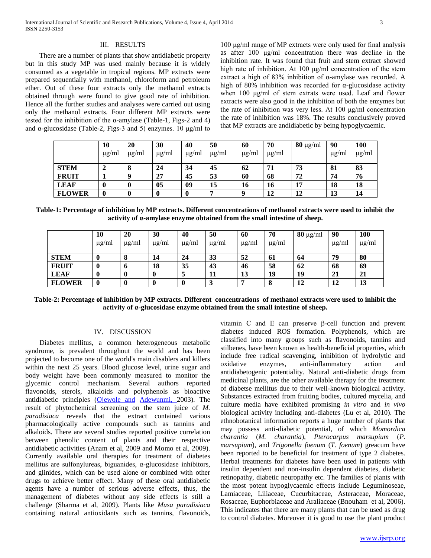### III. RESULTS

There are a number of plants that show antidiabetic property but in this study MP was used mainly because it is widely consumed as a vegetable in tropical regions. MP extracts were prepared sequentially with methanol, chloroform and petroleum ether. Out of these four extracts only the methanol extracts obtained through were found to give good rate of inhibition. Hence all the further studies and analyses were carried out using only the methanol extracts. Four different MP extracts were tested for the inhibition of the  $\alpha$ -amylase (Table-1, Figs-2 and 4) and  $\alpha$ -glucosidase (Table-2, Figs-3 and 5) enzymes. 10  $\mu$ g/ml to

100 μg/ml range of MP extracts were only used for final analysis as after 100 μg/ml concentration there was decline in the inhibition rate. It was found that fruit and stem extract showed high rate of inhibition. At 100 μg/ml concentration of the stem extract a high of 83% inhibition of α-amylase was recorded. A high of 80% inhibition was recorded for α-glucosidase activity when 100 μg/ml of stem extrats were used. Leaf and flower extracts were also good in the inhibition of both the enzymes but the rate of inhibition was very less. At 100 μg/ml concentration the rate of inhibition was 18%. The results conclusively proved that MP extracts are andidiabetic by being hypoglycaemic.

|               | 10<br>$\mu$ g/ml | <b>20</b><br>$\mu$ g/ml | 30<br>$\mu$ g/ml | 40<br>$\mu$ g/ml | 50<br>$\mu$ g/ml | 60<br>µg/ml | 70<br>$\mu$ g/ml | $80 \mu g/ml$ | 90<br>$\mu$ g/ml | 100<br>$\mu$ g/ml |
|---------------|------------------|-------------------------|------------------|------------------|------------------|-------------|------------------|---------------|------------------|-------------------|
| <b>STEM</b>   |                  | O                       | 24               | 34               | 45               | 62          | 71               | 73            | 81               | 83                |
| <b>FRUIT</b>  |                  |                         | 27               | 45               | 53               | 60          | 68               | 72            | 74               | 76                |
| <b>LEAF</b>   |                  |                         | 05               | 09               | 15               | 16          | 16               | 17            | 18               | 18                |
| <b>FLOWER</b> | $\bf{0}$         |                         |                  | $\boldsymbol{0}$ | −                |             | 12               | 12            | 13               | 14                |

**Table-1: Percentage of inhibition by MP extracts. Different concentrations of methanol extracts were used to inhibit the activity of α-amylase enzyme obtained from the small intestine of sheep.**

|               | 10<br>$\mu$ g/ml | <b>20</b><br>$\mu$ g/ml | 30<br>µg/ml      | 40<br>$\mu$ g/ml | 50<br>$\mu$ g/ml | 60<br>$\mu$ g/ml | 70<br>$\mu$ g/ml | $80 \mu g/ml$ | 90<br>$\mu$ g/ml | <b>100</b><br>$\mu$ g/ml |
|---------------|------------------|-------------------------|------------------|------------------|------------------|------------------|------------------|---------------|------------------|--------------------------|
| <b>STEM</b>   | 0                | O                       | 14               | 24               | 33               | 52               | 61               | 64            | 79               | 80                       |
| <b>FRUIT</b>  |                  |                         | 18               | 35               | 43               | 46               | 58               | 62            | 68               | 69                       |
| <b>LEAF</b>   |                  |                         | $\boldsymbol{0}$ | 5                | 11               | 13               | 19               | 19            | 21               | 21                       |
| <b>FLOWER</b> |                  |                         |                  | 0                | 3                |                  | 8                | 12            | 12               | 13                       |

**Table-2: Percentage of inhibition by MP extracts. Different concentrations of methanol extracts were used to inhibit the activity of α-glucosidase enzyme obtained from the small intestine of sheep.**

### IV. DISCUSSION

Diabetes mellitus, a common heterogeneous metabolic syndrome, is prevalent throughout the world and has been projected to become one of the world's main disablers and killers within the next 25 years. Blood glucose level, urine sugar and body weight have been commonly measured to monitor the glycemic control mechanism. Several authors reported flavonoids, sterols, alkaloids and polyphenols as bioactive antidiabetic principles [\(Ojewole and](http://www.ncbi.nlm.nih.gov/pubmed?term=Ojewole%20JA%5BAuthor%5D&cauthor=true&cauthor_uid=12949631) [Adewunmi, 2](http://www.ncbi.nlm.nih.gov/pubmed?term=Adewunmi%20CO%5BAuthor%5D&cauthor=true&cauthor_uid=12949631)003). The result of phytochemical screening on the stem juice of *M. paradisiaca* reveals that the extract contained various pharmacologically active compounds such as tannins and alkaloids. There are several studies reported positive correlation between phenolic content of plants and their respective antidiabetic activities (Anam et al, 2009 and Momo et al, 2009). Currently available oral therapies for treatment of diabetes mellitus are sulfonylureas, biguanides, α-glucosidase inhibitors, and glinides, which can be used alone or combined with other drugs to achieve better effect. Many of these oral antidiabetic agents have a number of serious adverse effects, thus, the management of diabetes without any side effects is still a challenge (Sharma et al, 2009). Plants like *Musa paradisiaca* containing natural antioxidants such as tannins, flavonoids,

vitamin C and E can preserve β-cell function and prevent diabetes induced ROS formation. Polyphenols, which are classified into many groups such as flavonoids, tannins and stilbenes, have been known as health-beneficial properties, which include free radical scavenging, inhibition of hydrolytic and oxidative enzymes, anti-inflammatory action and antidiabetogenic potentiality. Natural anti-diabetic drugs from medicinal plants, are the other available therapy for the treatment of diabetse mellitus due to their well-known biological activity. Substances extracted from fruiting bodies, cultured mycelia, and culture media have exhibited promising *in vitro* and *in vivo* biological activity including anti-diabetes (Lu et al, 2010). The ethnobotanical information reports a huge number of plants that may possess anti-diabetic potential, of which *Momordica charantia* (*M. charantia*), *Pterocarpus marsupium* (*P. marsupium*), and *Trigonella foenum* (*T. foenum*) greacum have been reported to be beneficial for treatment of type 2 diabetes. Herbal treatments for diabetes have been used in patients with insulin dependent and non-insulin dependent diabetes, diabetic retinopathy, diabetic neuropathy etc. The families of plants with the most potent hypoglycaemic effects include Leguminoseae, Lamiaceae, Liliaceae, Cucurbitaceae, Asteraceae, Moraceae, Rosaceae, Euphorbiaceae and Araliaceae (Bnouham et al, 2006). This indicates that there are many plants that can be used as drug to control diabetes. Moreover it is good to use the plant product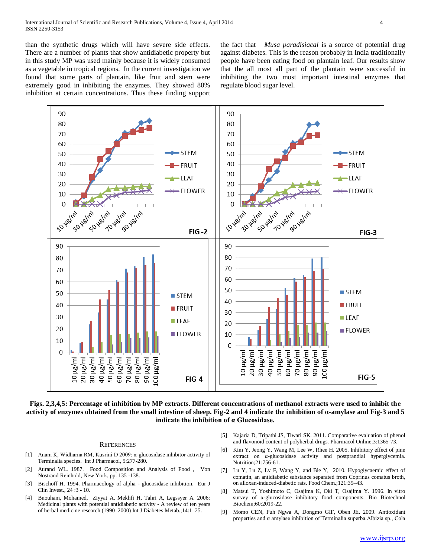than the synthetic drugs which will have severe side effects. There are a number of plants that show antidiabetic property but in this study MP was used mainly because it is widely consumed as a vegetable in tropical regions. In the current investigation we found that some parts of plantain, like fruit and stem were extremely good in inhibiting the enzymes. They showed 80% inhibition at certain concentrations. Thus these finding support

the fact that *Musa paradisiacal* is a source of potential drug against diabetes. This is the reason probably in India traditionally people have been eating food on plantain leaf. Our results show that the all most all part of the plantain were successful in inhibiting the two most important intestinal enzymes that regulate blood sugar level.



**Figs. 2,3,4,5: Percentage of inhibition by MP extracts. Different concentrations of methanol extracts were used to inhibit the activity of enzymes obtained from the small intestine of sheep. Fig-2 and 4 indicate the inhibition of α-amylase and Fig-3 and 5 indicate the inhibition of α Glucosidase.**

#### **REFERENCES**

- [1] Anam K, Widharna RM, Kusrini D 2009: α-glucosidase inhibitor activity of Terminalia species. Int J Pharmacol, 5:277-280.
- [2] Aurand WL. 1987. Food Composition and Analysis of Food , Von Nostrand Reinhold, New York, pp. 135 -138.
- [3] Bischoff H. 1994. Pharmacology of alpha glucosidase inhibition. Eur J Clin Invest., 24 :3 - 10.
- [4] Bnouham, Mohamed, Ziyyat A, Mekhfi H, Tahri A, Legssyer A. 2006: Medicinal plants with potential antidiabetic activity - A review of ten years of herbal medicine research (1990–2000) Int J Diabetes Metab.;14:1–25.
- [5] Kajaria D, Tripathi JS, Tiwari SK. 2011. Comparative evaluation of phenol and flavonoid content of polyherbal drugs. Pharmacol Online;3:1365-73.
- [6] Kim Y, Jeong Y, Wang M, Lee W, Rhee H. 2005. Inhibitory effect of pine extract on α-glucosidase activity and postprandial hyperglycemia. Nutrition;21:756-61.
- [7] Lu Y, Lu Z, Lv F, Wang Y, and Bie Y, 2010. Hypoglycaemic effect of comatin, an antidiabetic substance separated from Coprinus comatus broth, on alloxan-induced-diabetic rats. Food Chem.;121:39–43.
- [8] Matsui T, Yoshimoto C, Osajima K, Oki T, Osajima Y. 1996. In vitro survey of α-glucosidase inhibitory food components. Bio Biotechnol Biochem;60:2019-22.
- [9] Momo CEN, Fuh Ngwa A, Dongmo GIF, Oben JE. 2009. Antioxidant properties and α amylase inhibition of Terminalia superba Albizia sp., Cola